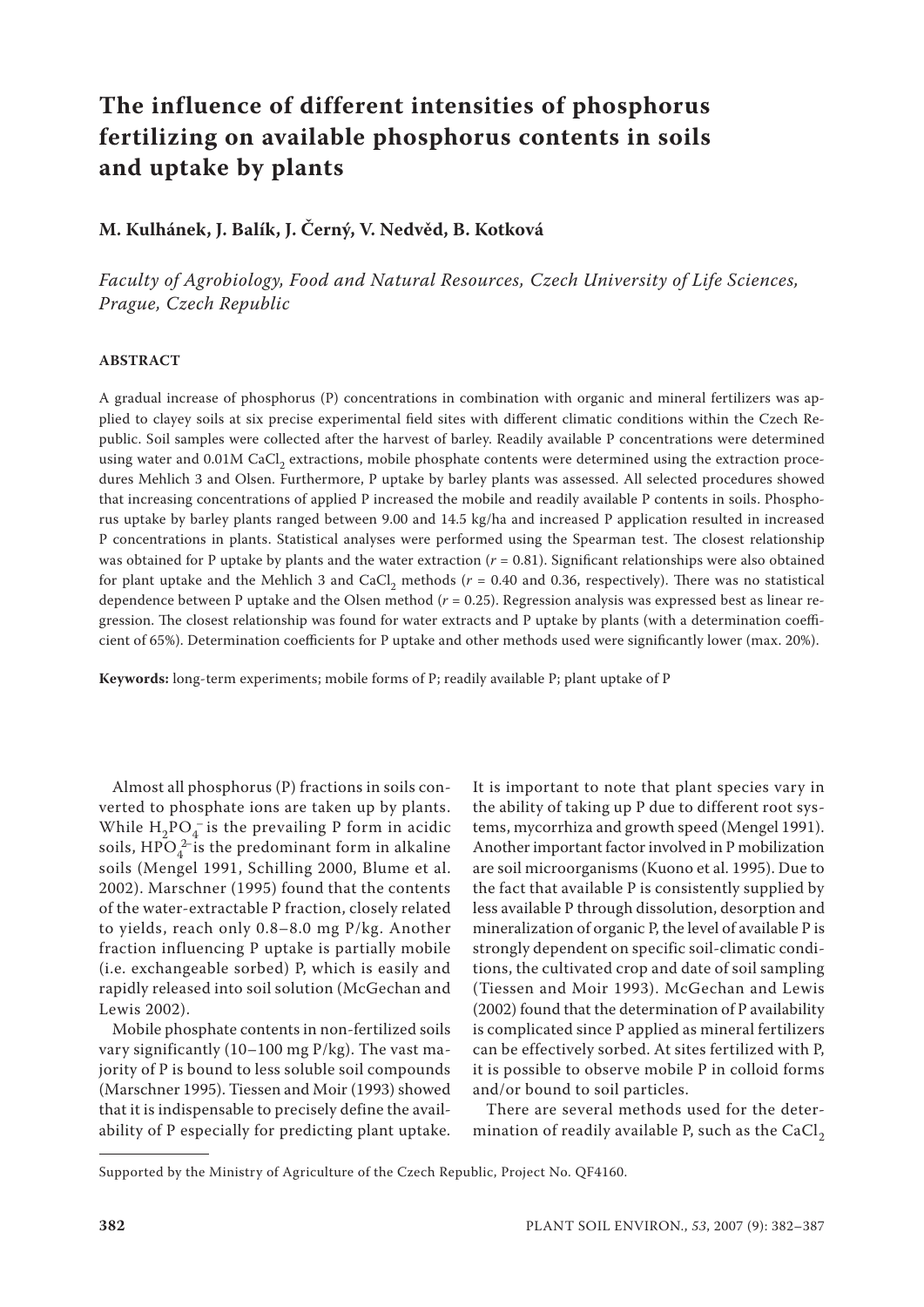# **The influence of different intensities of phosphorus fertilizing on available phosphorus contents in soils and uptake by plants**

# **M. Kulhánek, J. Balík, J. Černý, V. Nedvěd, B. Kotková**

*Faculty of Agrobiology, Food and Natural Resources, Czech University of Life Sciences, Prague, Czech Republic*

### **ABSTRACT**

A gradual increase of phosphorus (P) concentrations in combination with organic and mineral fertilizers was applied to clayey soils at six precise experimental field sites with different climatic conditions within the Czech Republic. Soil samples were collected after the harvest of barley. Readily available P concentrations were determined using water and 0.01M CaCl, extractions, mobile phosphate contents were determined using the extraction procedures Mehlich 3 and Olsen. Furthermore, P uptake by barley plants was assessed. All selected procedures showed that increasing concentrations of applied P increased the mobile and readily available P contents in soils. Phosphorus uptake by barley plants ranged between 9.00 and 14.5 kg/ha and increased P application resulted in increased P concentrations in plants. Statistical analyses were performed using the Spearman test. The closest relationship was obtained for P uptake by plants and the water extraction  $(r = 0.81)$ . Significant relationships were also obtained for plant uptake and the Mehlich 3 and CaCl<sub>2</sub> methods ( $r = 0.40$  and 0.36, respectively). There was no statistical dependence between P uptake and the Olsen method ( $r = 0.25$ ). Regression analysis was expressed best as linear regression. The closest relationship was found for water extracts and P uptake by plants (with a determination coefficient of 65%). Determination coefficients for P uptake and other methods used were significantly lower (max. 20%).

**Keywords:** long-term experiments; mobile forms of P; readily available P; plant uptake of P

Almost all phosphorus (P) fractions in soils converted to phosphate ions are taken up by plants. While  $H_2PQ_4^-$  is the prevailing P form in acidic soils,  $\text{HPO}_4^{2-}$  is the predominant form in alkaline soils (Mengel 1991, Schilling 2000, Blume et al. 2002). Marschner (1995) found that the contents of the water-extractable P fraction, closely related to yields, reach only 0.8–8.0 mg P/kg. Another fraction influencing P uptake is partially mobile (i.e. exchangeable sorbed) P, which is easily and rapidly released into soil solution (McGechan and Lewis 2002).

Mobile phosphate contents in non-fertilized soils vary significantly (10–100 mg P/kg). The vast majority of P is bound to less soluble soil compounds (Marschner 1995). Tiessen and Moir (1993) showed that it is indispensable to precisely define the availability of P especially for predicting plant uptake.

It is important to note that plant species vary in the ability of taking up P due to different root systems, mycorrhiza and growth speed (Mengel 1991). Another important factor involved in P mobilization are soil microorganisms (Kuono et al. 1995). Due to the fact that available P is consistently supplied by less available P through dissolution, desorption and mineralization of organic P, the level of available P is strongly dependent on specific soil-climatic conditions, the cultivated crop and date of soil sampling (Tiessen and Moir 1993). McGechan and Lewis (2002) found that the determination of P availability is complicated since P applied as mineral fertilizers can be effectively sorbed. At sites fertilized with P, it is possible to observe mobile P in colloid forms and/or bound to soil particles.

There are several methods used for the determination of readily available P, such as the  $CaCl<sub>2</sub>$ 

Supported by the Ministry of Agriculture of the Czech Republic, Project No. QF4160.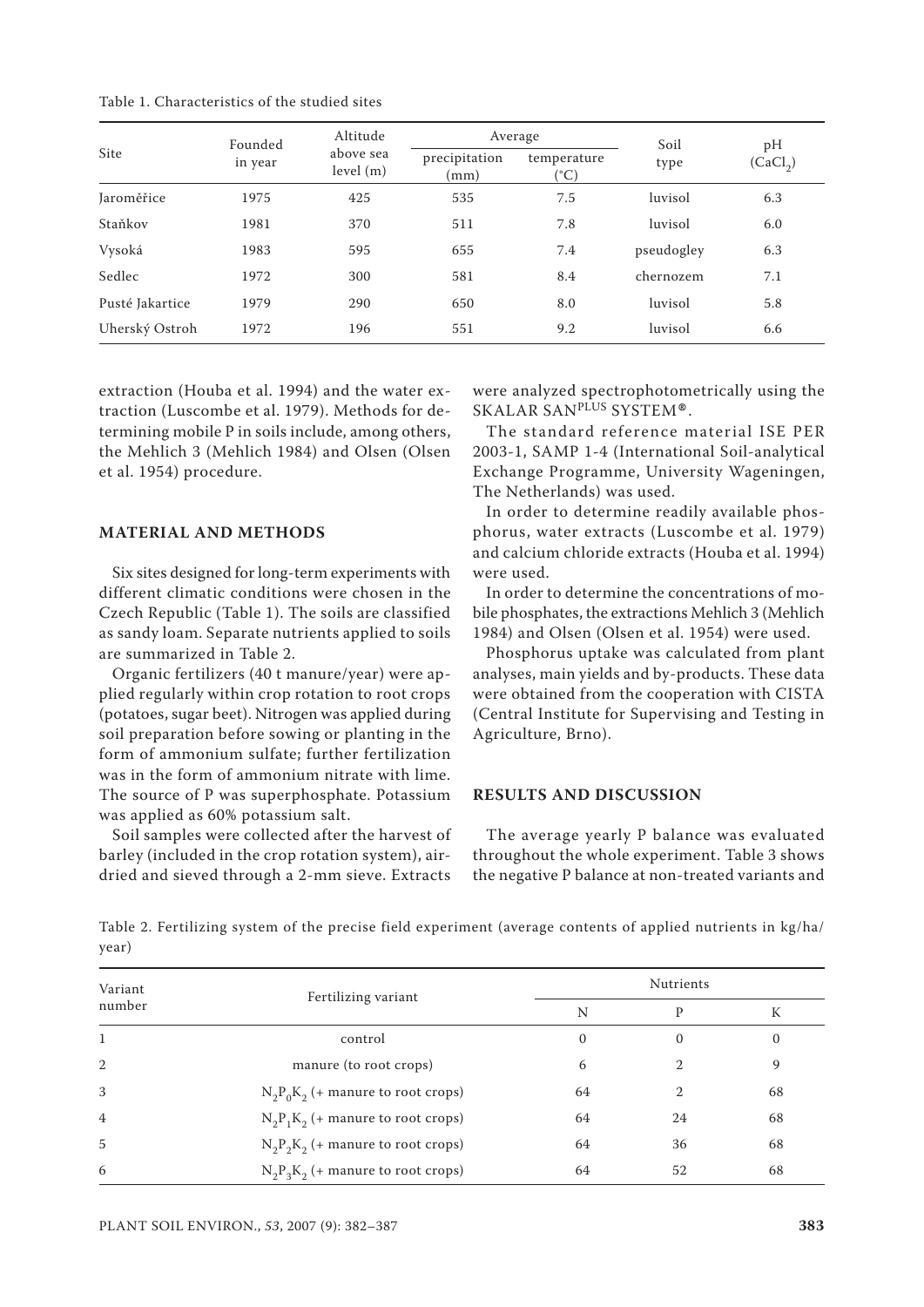| Table 1. Characteristics of the studied sites |
|-----------------------------------------------|
|-----------------------------------------------|

| Site            | Founded<br>in year | Altitude<br>above sea<br>level(m) | Average               |                             | Soil       | pН                   |
|-----------------|--------------------|-----------------------------------|-----------------------|-----------------------------|------------|----------------------|
|                 |                    |                                   | precipitation<br>(mm) | temperature<br>$(^\circ C)$ | type       | (CaCl <sub>2</sub> ) |
| Jaroměřice      | 1975               | 425                               | 535                   | 7.5                         | luvisol    | 6.3                  |
| Staňkov         | 1981               | 370                               | 511                   | 7.8                         | luvisol    | 6.0                  |
| Vysoká          | 1983               | 595                               | 655                   | 7.4                         | pseudogley | 6.3                  |
| Sedlec          | 1972               | 300                               | 581                   | 8.4                         | chernozem  | 7.1                  |
| Pusté Jakartice | 1979               | 290                               | 650                   | 8.0                         | luvisol    | 5.8                  |
| Uherský Ostroh  | 1972               | 196                               | 551                   | 9.2                         | luvisol    | 6.6                  |

extraction (Houba et al. 1994) and the water extraction (Luscombe et al. 1979). Methods for determining mobile P in soils include, among others, the Mehlich 3 (Mehlich 1984) and Olsen (Olsen et al. 1954) procedure.

## **MATERIAL AND METHODS**

Six sites designed for long-term experiments with different climatic conditions were chosen in the Czech Republic (Table 1). The soils are classified as sandy loam. Separate nutrients applied to soils are summarized in Table 2.

Organic fertilizers (40 t manure/year) were applied regularly within crop rotation to root crops (potatoes, sugar beet). Nitrogen was applied during soil preparation before sowing or planting in the form of ammonium sulfate; further fertilization was in the form of ammonium nitrate with lime. The source of P was superphosphate. Potassium was applied as 60% potassium salt.

Soil samples were collected after the harvest of barley (included in the crop rotation system), airdried and sieved through a 2-mm sieve. Extracts

were analyzed spectrophotometrically using the SKALAR SANPLUS SYSTEM®.

The standard reference material ISE PER 2003-1, SAMP 1-4 (International Soil-analytical Exchange Programme, University Wageningen, The Netherlands) was used.

In order to determine readily available phosphorus, water extracts (Luscombe et al. 1979) and calcium chloride extracts (Houba et al. 1994) were used.

In order to determine the concentrations of mobile phosphates, the extractions Mehlich 3 (Mehlich 1984) and Olsen (Olsen et al. 1954) were used.

Phosphorus uptake was calculated from plant analyses, main yields and by-products. These data were obtained from the cooperation with CISTA (Central Institute for Supervising and Testing in Agriculture, Brno).

## **RESULTS AND DISCUSSION**

The average yearly P balance was evaluated throughout the whole experiment. Table 3 shows the negative P balance at non-treated variants and

Table 2. Fertilizing system of the precise field experiment (average contents of applied nutrients in kg/ha/ year)

| Variant        |                                      | <b>Nutrients</b> |                |          |
|----------------|--------------------------------------|------------------|----------------|----------|
| number         | Fertilizing variant                  | N                | P              | К        |
|                | control                              | $\mathbf{0}$     | 0              | $\theta$ |
| $\overline{2}$ | manure (to root crops)               | 6                | $\mathfrak{D}$ | 9        |
| 3              | $N_2P_0K_2$ (+ manure to root crops) | 64               | $\mathfrak{D}$ | 68       |
| $\overline{4}$ | $N_2P_1K_2$ (+ manure to root crops) | 64               | 24             | 68       |
| 5              | $N_2P_2K_2$ (+ manure to root crops) | 64               | 36             | 68       |
| 6              | $N_2P_3K_2$ (+ manure to root crops) | 64               | 52             | 68       |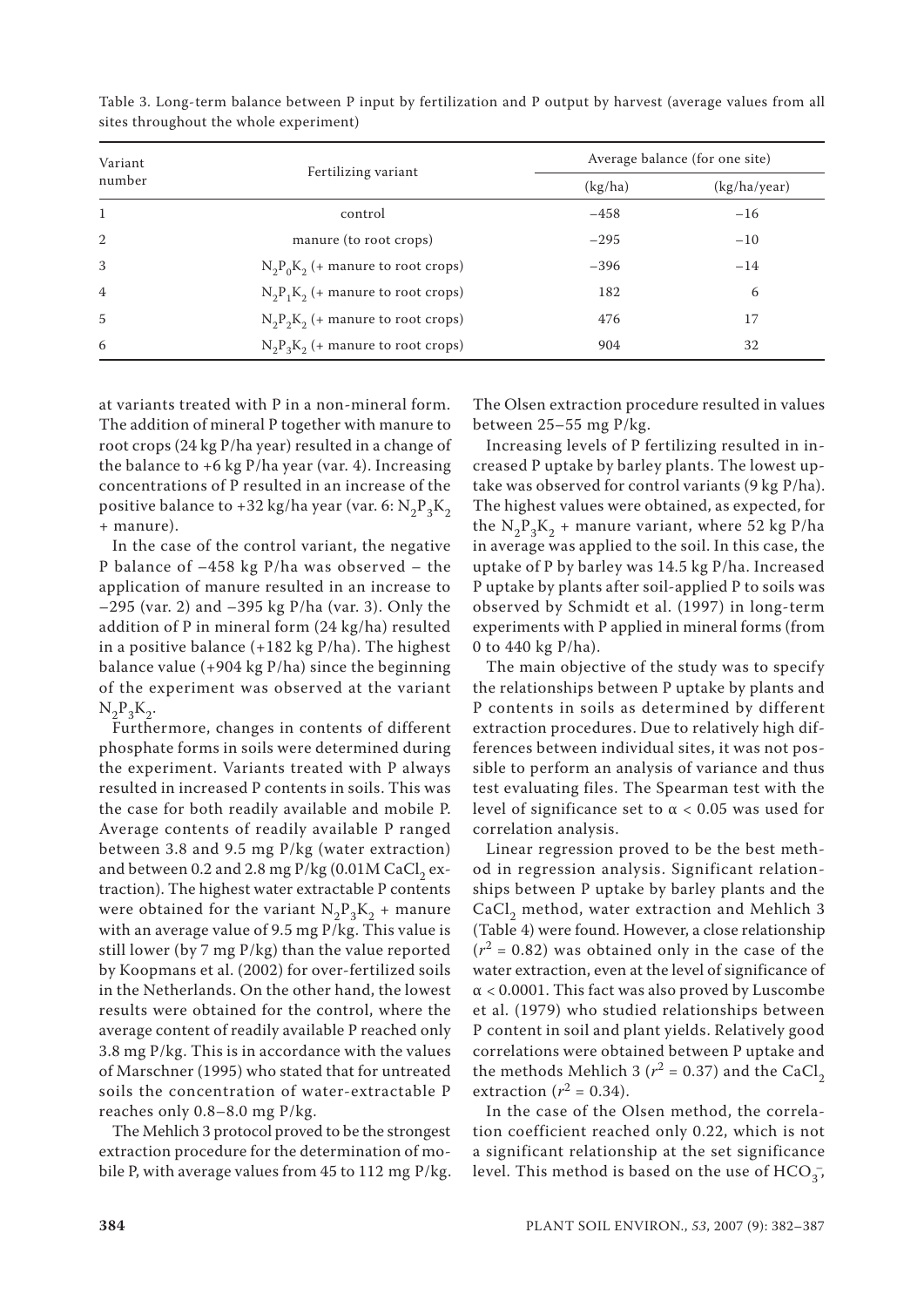| Variant        |                                      | Average balance (for one site) |              |  |
|----------------|--------------------------------------|--------------------------------|--------------|--|
| number         | Fertilizing variant                  | (kg/ha)                        | (kg/ha/year) |  |
| 1              | control                              | $-458$                         | $-16$        |  |
| $\overline{2}$ | manure (to root crops)               | $-295$                         | $-10$        |  |
| 3              | $N_2P_0K_2$ (+ manure to root crops) | $-396$                         | $-14$        |  |
| $\overline{4}$ | $N_2P_1K_2$ (+ manure to root crops) | 182                            | 6            |  |
| $\overline{5}$ | $N_2P_2K_2$ (+ manure to root crops) | 476                            | 17           |  |
| 6              | $N_2P_3K_2$ (+ manure to root crops) | 904                            | 32           |  |

Table 3. Long-term balance between P input by fertilization and P output by harvest (average values from all sites throughout the whole experiment)

at variants treated with P in a non-mineral form. The addition of mineral P together with manure to root crops (24 kg P/ha year) resulted in a change of the balance to  $+6$  kg P/ha year (var. 4). Increasing concentrations of P resulted in an increase of the positive balance to +32 kg/ha year (var. 6:  $N_2P_3K_2$ + manure).

In the case of the control variant, the negative P balance of –458 kg P/ha was observed – the application of manure resulted in an increase to –295 (var. 2) and –395 kg P/ha (var. 3). Only the addition of P in mineral form (24 kg/ha) resulted in a positive balance  $(+182 \text{ kg P/ha})$ . The highest balance value (+904 kg P/ha) since the beginning of the experiment was observed at the variant  $N_2P_3K_2$ .

Furthermore, changes in contents of different phosphate forms in soils were determined during the experiment. Variants treated with P always resulted in increased P contents in soils. This was the case for both readily available and mobile P. Average contents of readily available P ranged between 3.8 and 9.5 mg P/kg (water extraction) and between 0.2 and 2.8 mg  $P/kg$  (0.01M CaCl<sub>2</sub> extraction). The highest water extractable P contents were obtained for the variant  $N_2P_3K_2$  + manure with an average value of 9.5 mg P/kg. This value is still lower (by 7 mg P/kg) than the value reported by Koopmans et al. (2002) for over-fertilized soils in the Netherlands. On the other hand, the lowest results were obtained for the control, where the average content of readily available P reached only 3.8 mg P/kg. This is in accordance with the values of Marschner (1995) who stated that for untreated soils the concentration of water-extractable P reaches only 0.8–8.0 mg P/kg.

The Mehlich 3 protocol proved to be the strongest extraction procedure for the determination of mobile P, with average values from 45 to 112 mg P/kg.

The Olsen extraction procedure resulted in values between 25–55 mg P/kg.

Increasing levels of P fertilizing resulted in increased P uptake by barley plants. The lowest uptake was observed for control variants (9 kg P/ha). The highest values were obtained, as expected, for the  $N_2P_3K_2$  + manure variant, where 52 kg P/ha in average was applied to the soil. In this case, the uptake of P by barley was 14.5 kg P/ha. Increased P uptake by plants after soil-applied P to soils was observed by Schmidt et al. (1997) in long-term experiments with P applied in mineral forms (from 0 to 440 kg P/ha).

The main objective of the study was to specify the relationships between P uptake by plants and P contents in soils as determined by different extraction procedures. Due to relatively high differences between individual sites, it was not possible to perform an analysis of variance and thus test evaluating files. The Spearman test with the level of significance set to  $\alpha$  < 0.05 was used for correlation analysis.

Linear regression proved to be the best method in regression analysis. Significant relationships between P uptake by barley plants and the CaCl, method, water extraction and Mehlich 3 (Table 4) were found. However, a close relationship  $(r^2 = 0.82)$  was obtained only in the case of the water extraction, even at the level of significance of  $\alpha$  < 0.0001. This fact was also proved by Luscombe et al. (1979) who studied relationships between P content in soil and plant yields. Relatively good correlations were obtained between P uptake and the methods Mehlich 3 ( $r^2$  = 0.37) and the CaCl<sub>2</sub> extraction  $(r^2 = 0.34)$ .

In the case of the Olsen method, the correlation coefficient reached only 0.22, which is not a significant relationship at the set significance level. This method is based on the use of  $\text{HCO}_{3}^{-}$ ,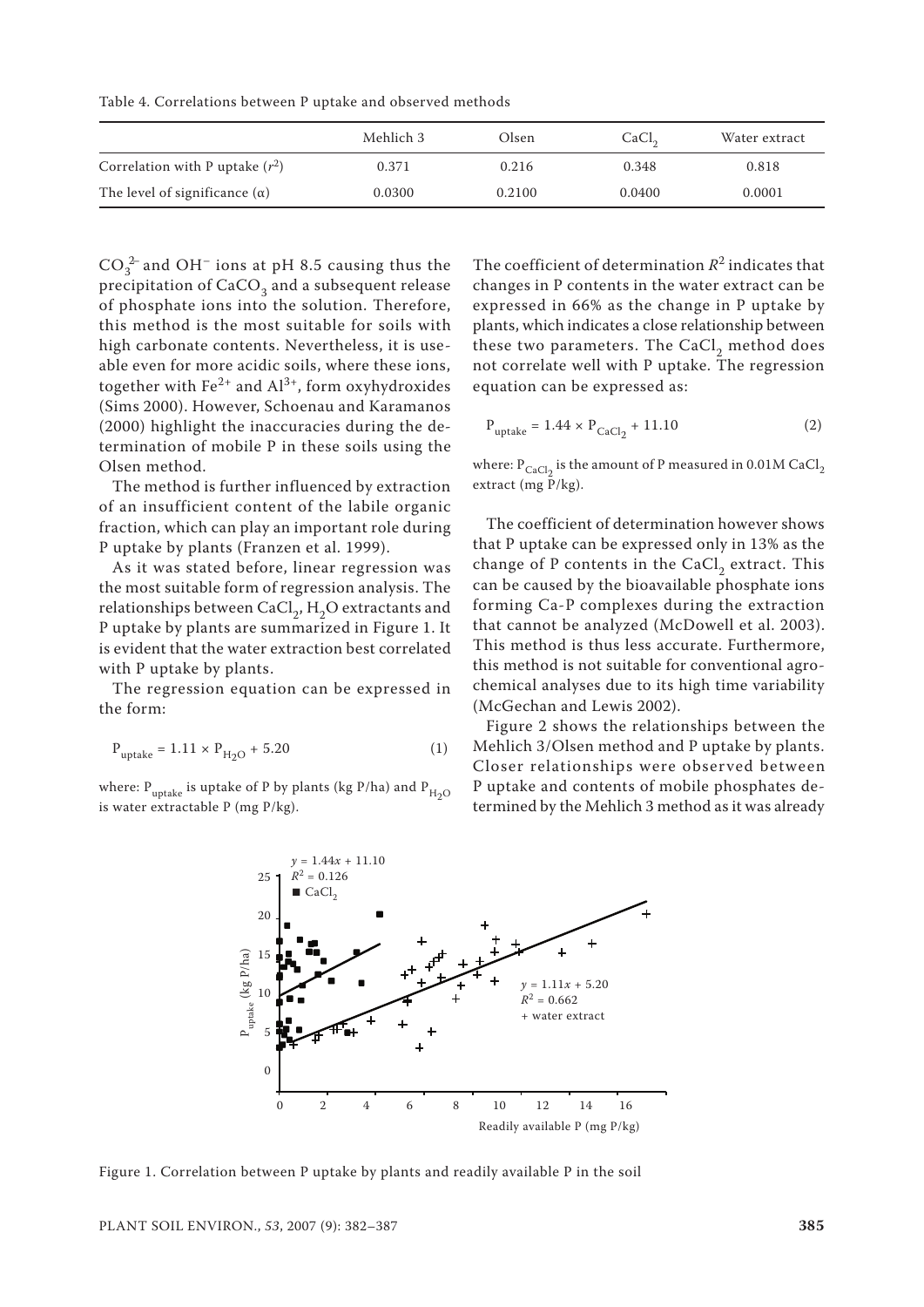Table 4. Correlations between P uptake and observed methods

|                                      | Mehlich 3 | Olsen  | CaCl <sub>2</sub> | Water extract |
|--------------------------------------|-----------|--------|-------------------|---------------|
| Correlation with P uptake $(r^2)$    | 0.371     | 0.216  | 0.348             | 0.818         |
| The level of significance $(\alpha)$ | 0.0300    | 0.2100 | 0.0400            | 0.0001        |

 $CO_3^{2-}$  and OH<sup>-</sup> ions at pH 8.5 causing thus the precipitation of  $CaCO<sub>3</sub>$  and a subsequent release of phosphate ions into the solution. Therefore, this method is the most suitable for soils with high carbonate contents. Nevertheless, it is useable even for more acidic soils, where these ions, together with  $Fe^{2+}$  and  $Al^{3+}$ , form oxyhydroxides (Sims 2000). However, Schoenau and Karamanos (2000) highlight the inaccuracies during the determination of mobile P in these soils using the Olsen method.

The method is further influenced by extraction of an insufficient content of the labile organic fraction, which can play an important role during P uptake by plants (Franzen et al. 1999).

As it was stated before, linear regression was the most suitable form of regression analysis. The relationships between  $CaCl<sub>2</sub>$ , H<sub>2</sub>O extractants and P uptake by plants are summarized in Figure 1. It is evident that the water extraction best correlated with P uptake by plants.

The regression equation can be expressed in the form:

$$
P_{\text{uptake}} = 1.11 \times P_{\text{H}_2\text{O}} + 5.20 \tag{1}
$$

where:  $P_{\text{update}}$  is uptake of P by plants (kg P/ha) and  $P_{\text{H}_2O}$ is water extractable P (mg P/kg).

The coefficient of determination  $R^2$  indicates that changes in P contents in the water extract can be expressed in 66% as the change in P uptake by plants, which indicates a close relationship between these two parameters. The CaCl<sub>2</sub> method does not correlate well with P uptake. The regression equation can be expressed as:

$$
P_{\text{uptake}} = 1.44 \times P_{\text{CaCl}_2} + 11.10 \tag{2}
$$

where:  $P_{\text{CaCl}_2}$  is the amount of P measured in 0.01M CaCl<sub>2</sub> extract (mg  $\frac{p}{P/kg}$ ).

The coefficient of determination however shows that P uptake can be expressed only in 13% as the change of P contents in the CaCl<sub>2</sub> extract. This can be caused by the bioavailable phosphate ions forming Ca-P complexes during the extraction that cannot be analyzed (McDowell et al. 2003). This method is thus less accurate. Furthermore, this method is not suitable for conventional agrochemical analyses due to its high time variability (McGechan and Lewis 2002).

Figure 2 shows the relationships between the Mehlich 3/Olsen method and P uptake by plants. Closer relationships were observed between P uptake and contents of mobile phosphates determined by the Mehlich 3 method as it was already



Figure 1. Correlation between P uptake by plants and readily available P in the soil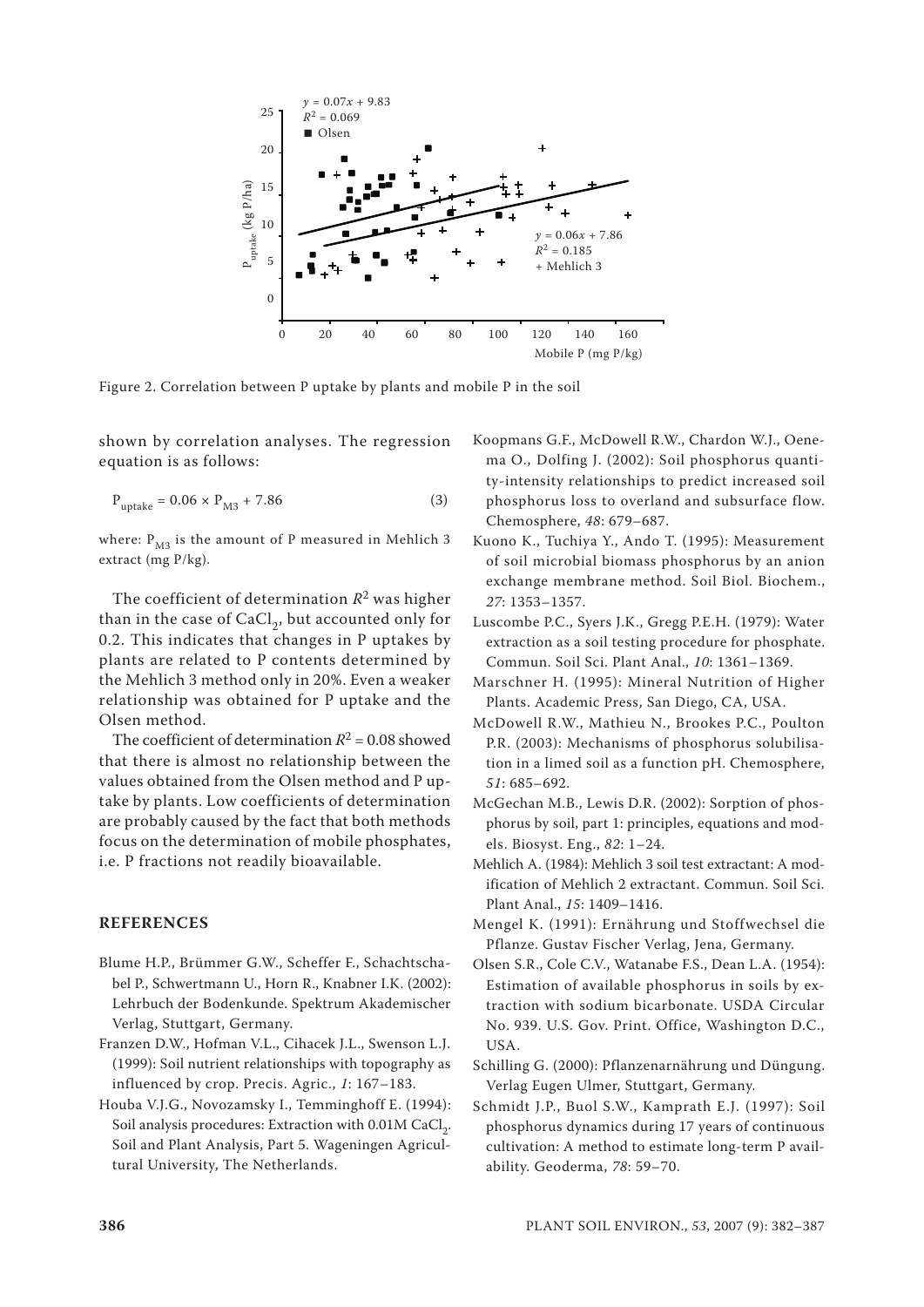

Figure 2. Correlation between P uptake by plants and mobile P in the soil

shown by correlation analyses. The regression equation is as follows:

$$
P_{\text{uptake}} = 0.06 \times P_{\text{M3}} + 7.86 \tag{3}
$$

where:  $P_{M3}$  is the amount of P measured in Mehlich 3 extract (mg P/kg).

The coefficient of determination  $R^2$  was higher than in the case of  $CaCl<sub>2</sub>$ , but accounted only for 0.2. This indicates that changes in P uptakes by plants are related to P contents determined by the Mehlich 3 method only in 20%. Even a weaker relationship was obtained for P uptake and the Olsen method.

The coefficient of determination  $R^2$  = 0.08 showed that there is almost no relationship between the values obtained from the Olsen method and P uptake by plants. Low coefficients of determination are probably caused by the fact that both methods focus on the determination of mobile phosphates, i.e. P fractions not readily bioavailable.

#### **REFERENCES**

- Blume H.P., Brümmer G.W., Scheffer F., Schachtschabel P., Schwertmann U., Horn R., Knabner I.K. (2002): Lehrbuch der Bodenkunde. Spektrum Akademischer Verlag, Stuttgart, Germany.
- Franzen D.W., Hofman V.L., Cihacek J.L., Swenson L.J. (1999): Soil nutrient relationships with topography as influenced by crop. Precis. Agric., *1*: 167–183.
- Houba V.J.G., Novozamsky I., Temminghoff E. (1994): Soil analysis procedures: Extraction with 0.01M CaCl<sub>2</sub>. Soil and Plant Analysis, Part 5. Wageningen Agricultural University, The Netherlands.
- Koopmans G.F., McDowell R.W., Chardon W.J., Oenema O., Dolfing J. (2002): Soil phosphorus quantity-intensity relationships to predict increased soil phosphorus loss to overland and subsurface flow. Chemosphere, *48*: 679–687.
- Kuono K., Tuchiya Y., Ando T. (1995): Measurement of soil microbial biomass phosphorus by an anion exchange membrane method. Soil Biol. Biochem., *27*: 1353–1357.
- Luscombe P.C., Syers J.K., Gregg P.E.H. (1979): Water extraction as a soil testing procedure for phosphate. Commun. Soil Sci. Plant Anal., *10*: 1361–1369.
- Marschner H. (1995): Mineral Nutrition of Higher Plants. Academic Press, San Diego, CA, USA.
- McDowell R.W., Mathieu N., Brookes P.C., Poulton P.R. (2003): Mechanisms of phosphorus solubilisation in a limed soil as a function pH. Chemosphere, *51*: 685–692.
- McGechan M.B., Lewis D.R. (2002): Sorption of phosphorus by soil, part 1: principles, equations and models. Biosyst. Eng., *82*: 1–24.
- Mehlich A. (1984): Mehlich 3 soil test extractant: A modification of Mehlich 2 extractant. Commun. Soil Sci. Plant Anal., *15*: 1409–1416.
- Mengel K. (1991): Ernährung und Stoffwechsel die Pflanze. Gustav Fischer Verlag, Jena, Germany.
- Olsen S.R., Cole C.V., Watanabe F.S., Dean L.A. (1954): Estimation of available phosphorus in soils by extraction with sodium bicarbonate. USDA Circular No. 939. U.S. Gov. Print. Office, Washington D.C., USA.
- Schilling G. (2000): Pflanzenarnährung und Düngung. Verlag Eugen Ulmer, Stuttgart, Germany.
- Schmidt J.P., Buol S.W., Kamprath E.J. (1997): Soil phosphorus dynamics during 17 years of continuous cultivation: A method to estimate long-term P availability. Geoderma, *78*: 59–70.